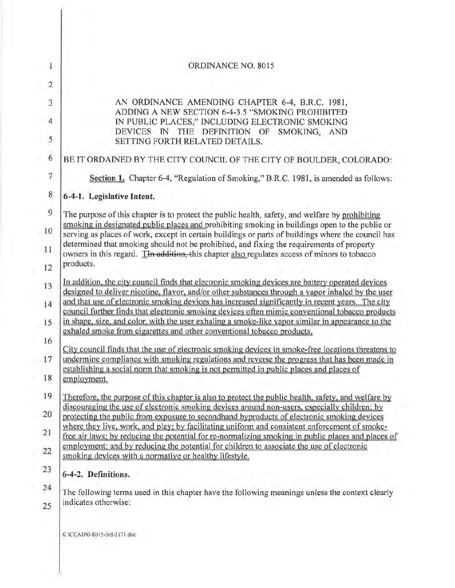| $\overline{1}$      | ORDINANCE NO. 8015                                                                                                                                                                                                                                                                                        |
|---------------------|-----------------------------------------------------------------------------------------------------------------------------------------------------------------------------------------------------------------------------------------------------------------------------------------------------------|
| $\overline{2}$      |                                                                                                                                                                                                                                                                                                           |
| $\ddot{3}$          | AN ORDINANCE AMENDING CHAPTER 6-4, B.R.C. 1981,<br>ADDING A NEW SECTION 6-4-3.5 "SMOKING PROHIBITED                                                                                                                                                                                                       |
| $\overline{4}$<br>5 | IN PUBLIC PLACES," INCLUDING ELECTRONIC SMOKING<br>DEVICES IN THE DEFINITION OF SMOKING, AND<br>SETTING FORTH RELATED DETAILS.                                                                                                                                                                            |
| 6                   | BE IT ORDAINED BY THE CITY COUNCIL OF THE CITY OF BOULDER, COLORADO:                                                                                                                                                                                                                                      |
| $\overline{7}$      | Section 1. Chapter 6-4, "Regulation of Smoking," B.R.C. 1981, is amended as follows:                                                                                                                                                                                                                      |
| $\bf 8$             | 6-4-1. Legislative Intent.                                                                                                                                                                                                                                                                                |
| $\overline{9}$      | The purpose of this chapter is to protect the public health, safety, and welfare by prohibiting                                                                                                                                                                                                           |
| 10                  | smoking in designated public places and prohibiting smoking in buildings open to the public or<br>serving as places of work, except in certain buildings or parts of buildings where the council has                                                                                                      |
| 11                  | determined that smoking should not be prohibited, and fixing the requirements of property<br>owners in this regard. The addition, this chapter also regulates access of minors to tobacco<br>products.                                                                                                    |
| 12                  |                                                                                                                                                                                                                                                                                                           |
| 13<br>14            | In addition, the city council finds that electronic smoking devices are battery operated devices<br>designed to deliver nicotine, flavor, and/or other substances through a vapor inhaled by the user<br>and that use of electronic smoking devices has increased significantly in recent years. The city |
| 15                  | council further finds that electronic smoking devices often mimic conventional tobacco products<br>in shape, size, and color, with the user exhaling a smoke-like vapor similar in appearance to the<br>exhaled smoke from cigarettes and other conventional tobacco products.                            |
| 16                  | City council finds that the use of electronic smoking devices in smoke-free locations threatens to                                                                                                                                                                                                        |
| 17                  | undermine compliance with smoking regulations and reverse the progress that has been made in<br>establishing a social norm that smoking is not permitted in public places and places of                                                                                                                   |
| 18                  | employment.                                                                                                                                                                                                                                                                                               |
| 19<br>20            | Therefore, the purpose of this chapter is also to protect the public health, safety, and welfare by<br>discouraging the use of electronic smoking devices around non-users, especially children; by<br>protecting the public from exposure to secondhand byproducts of electronic smoking devices         |
| 21                  | where they live, work, and play; by facilitating uniform and consistent enforcement of smoke-                                                                                                                                                                                                             |
| 22                  | free air laws; by reducing the potential for re-normalizing smoking in public places and places of<br>employment; and by reducing the potential for children to associate the use of electronic                                                                                                           |
|                     | smoking devices with a normative or healthy lifestyle.                                                                                                                                                                                                                                                    |
| 23                  | 6-4-2. Definitions.                                                                                                                                                                                                                                                                                       |
| 24<br>25            | The following terms used in this chapter have the following meanings unless the context clearly<br>indicates otherwise:                                                                                                                                                                                   |
|                     | K:\CCAD\0-8015-3rd-2171 doc                                                                                                                                                                                                                                                                               |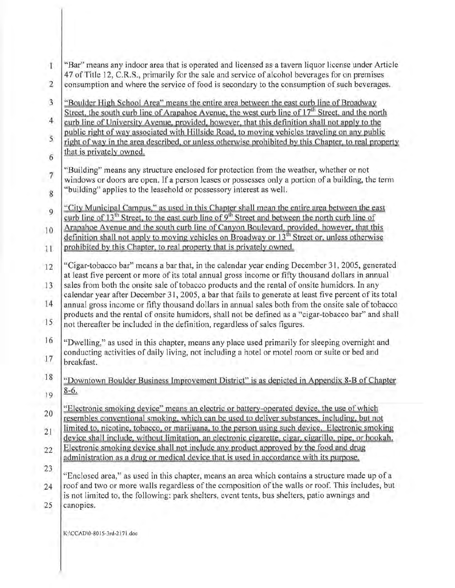| $\mathbf T$               | "Bar" means any indoor area that is operated and licensed as a tavern liquor license under Article                                                                                                                                                                                                              |
|---------------------------|-----------------------------------------------------------------------------------------------------------------------------------------------------------------------------------------------------------------------------------------------------------------------------------------------------------------|
| $\overline{2}$            | 47 of Title 12, C.R.S., primarily for the sale and service of alcohol beverages for on premises<br>consumption and where the service of food is secondary to the consumption of such beverages.                                                                                                                 |
| 3                         | "Boulder High School Area" means the entire area between the east curb line of Broadway                                                                                                                                                                                                                         |
| $\overline{4}$            | Street, the south curb line of Arapahoe Avenue, the west curb line of 17 <sup>th</sup> Street, and the north<br>curb line of University Avenue, provided, however, that this definition shall not apply to the<br>public right of way associated with Hillside Road, to moving vehicles traveling on any public |
| 5                         | right of way in the area described, or unless otherwise prohibited by this Chapter, to real property<br>that is privately owned.                                                                                                                                                                                |
| 6                         |                                                                                                                                                                                                                                                                                                                 |
| $\boldsymbol{7}$<br>$8\,$ | "Building" means any structure enclosed for protection from the weather, whether or not<br>windows or doors are open. If a person leases or possesses only a portion of a building, the term<br>"building" applies to the leasehold or possessory interest as well.                                             |
| 9                         | "City Municipal Campus," as used in this Chapter shall mean the entire area between the east<br>curb line of 13 <sup>th</sup> Street, to the east curb line of 9 <sup>th</sup> Street and between the north curb line of                                                                                        |
| 10<br>11                  | Arapahoe Avenue and the south curb line of Canyon Boulevard, provided, however, that this<br>definition shall not apply to moving vehicles on Broadway or 13 <sup>th</sup> Street or, unless otherwise<br>prohibited by this Chapter, to real property that is privately owned.                                 |
|                           | "Cigar-tobacco bar" means a bar that, in the calendar year ending December 31, 2005, generated                                                                                                                                                                                                                  |
| $12\,$                    | at least five percent or more of its total annual gross income or fifty thousand dollars in annual                                                                                                                                                                                                              |
| 13<br>14                  | sales from both the onsite sale of tobacco products and the rental of onsite humidors. In any<br>calendar year after December 31, 2005, a bar that fails to generate at least five percent of its total<br>annual gross income or fifty thousand dollars in annual sales both from the onsite sale of tobacco   |
| 15                        | products and the rental of onsite humidors, shall not be defined as a "cigar-tobacco bar" and shall<br>not thereafter be included in the definition, regardless of sales figures.                                                                                                                               |
| 16                        | "Dwelling," as used in this chapter, means any place used primarily for sleeping overnight and<br>conducting activities of daily living, not including a hotel or motel room or suite or bed and                                                                                                                |
| 17                        | breakfast.                                                                                                                                                                                                                                                                                                      |
| 18                        | "Downtown Boulder Business Improvement District" is as depicted in Appendix 8-B of Chapter<br>$8-6.$                                                                                                                                                                                                            |
| 19                        |                                                                                                                                                                                                                                                                                                                 |
| 20                        | "Electronic smoking device" means an electric or battery-operated device, the use of which<br>resembles conventional smoking, which can be used to deliver substances, including, but not<br>limited to, nicotine, tobacco, or marijuana, to the person using such device. Electronic smoking                   |
| 21                        | device shall include, without limitation, an electronic cigarette, cigar, cigarillo, pipe, or hookah.                                                                                                                                                                                                           |
| 22                        | Electronic smoking device shall not include any product approved by the food and drug<br>administration as a drug or medical device that is used in accordance with its purpose.                                                                                                                                |
| 23                        | "Enclosed area," as used in this chapter, means an area which contains a structure made up of a                                                                                                                                                                                                                 |
| 24                        | roof and two or more walls regardless of the composition of the walls or roof. This includes, but<br>is not limited to, the following: park shelters, event tents, bus shelters, patio awnings and                                                                                                              |
| 25                        | canopics.                                                                                                                                                                                                                                                                                                       |
|                           | K:\CCAD\0-8015-3rd-2171.doc                                                                                                                                                                                                                                                                                     |
|                           |                                                                                                                                                                                                                                                                                                                 |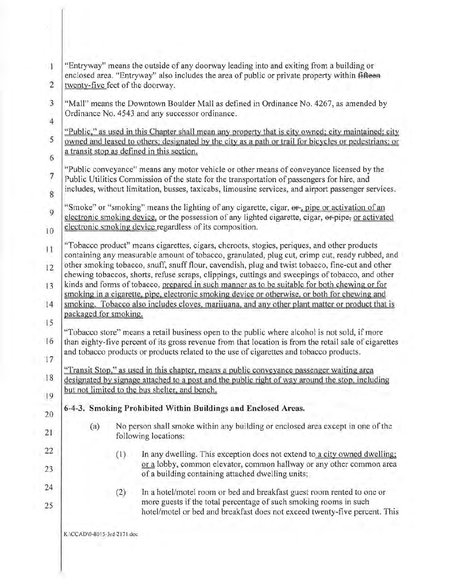|                                                                                                                                                                                                                                                                                                                                                                                                                                | "Entryway" means the outside of any doorway leading into and exiting from a building or<br>enclosed area. "Entryway" also includes the area of public or private property within fifteen<br>twenty-five feet of the doorway.<br>"Mall" means the Downtown Boulder Mall as defined in Ordinance No. 4267, as amended by<br>Ordinance No. 4543 and any successor ordinance.<br>"Public," as used in this Chapter shall mean any property that is city owned; city maintained; city<br>owned and leased to others; designated by the city as a path or trail for bicycles or pedestrians; or<br>a transit stop as defined in this section.<br>"Public conveyance" means any motor vehicle or other means of conveyance licensed by the |  |  |  |
|--------------------------------------------------------------------------------------------------------------------------------------------------------------------------------------------------------------------------------------------------------------------------------------------------------------------------------------------------------------------------------------------------------------------------------|-------------------------------------------------------------------------------------------------------------------------------------------------------------------------------------------------------------------------------------------------------------------------------------------------------------------------------------------------------------------------------------------------------------------------------------------------------------------------------------------------------------------------------------------------------------------------------------------------------------------------------------------------------------------------------------------------------------------------------------|--|--|--|
|                                                                                                                                                                                                                                                                                                                                                                                                                                |                                                                                                                                                                                                                                                                                                                                                                                                                                                                                                                                                                                                                                                                                                                                     |  |  |  |
|                                                                                                                                                                                                                                                                                                                                                                                                                                |                                                                                                                                                                                                                                                                                                                                                                                                                                                                                                                                                                                                                                                                                                                                     |  |  |  |
|                                                                                                                                                                                                                                                                                                                                                                                                                                |                                                                                                                                                                                                                                                                                                                                                                                                                                                                                                                                                                                                                                                                                                                                     |  |  |  |
|                                                                                                                                                                                                                                                                                                                                                                                                                                |                                                                                                                                                                                                                                                                                                                                                                                                                                                                                                                                                                                                                                                                                                                                     |  |  |  |
|                                                                                                                                                                                                                                                                                                                                                                                                                                | Public Utilities Commission of the state for the transportation of passengers for hire, and<br>includes, without limitation, busses, taxicabs, limousine services, and airport passenger services.                                                                                                                                                                                                                                                                                                                                                                                                                                                                                                                                  |  |  |  |
|                                                                                                                                                                                                                                                                                                                                                                                                                                | "Smoke" or "smoking" means the lighting of any cigarette, cigar, or, pipe or activation of an<br>electronic smoking device, or the possession of any lighted cigarette, cigar, or pipe, or activated<br>electronic smoking device regardless of its composition.                                                                                                                                                                                                                                                                                                                                                                                                                                                                    |  |  |  |
|                                                                                                                                                                                                                                                                                                                                                                                                                                | "Tobacco product" means cigarettes, cigars, cheroots, stogies, periques, and other products                                                                                                                                                                                                                                                                                                                                                                                                                                                                                                                                                                                                                                         |  |  |  |
| containing any measurable amount of tobacco, granulated, plug cut, crimp cut, ready rubbed, and<br>other smoking tobacco, snuff, snuff flour, cavendish, plug and twist tobacco, fine-cut and other                                                                                                                                                                                                                            |                                                                                                                                                                                                                                                                                                                                                                                                                                                                                                                                                                                                                                                                                                                                     |  |  |  |
| chewing tobaccos, shorts, refuse scraps, clippings, cuttings and sweepings of tobacco, and other<br>kinds and forms of tobacco, prepared in such manner as to be suitable for both chewing or for<br>smoking in a cigarette, pipe, electronic smoking device or otherwise, or both for chewing and<br>smoking. Tobacco also includes cloves, marijuana, and any other plant matter or product that is<br>packaged for smoking. |                                                                                                                                                                                                                                                                                                                                                                                                                                                                                                                                                                                                                                                                                                                                     |  |  |  |
|                                                                                                                                                                                                                                                                                                                                                                                                                                |                                                                                                                                                                                                                                                                                                                                                                                                                                                                                                                                                                                                                                                                                                                                     |  |  |  |
|                                                                                                                                                                                                                                                                                                                                                                                                                                | "Transit Stop," as used in this chapter, means a public conveyance passenger waiting area<br>designated by signage attached to a post and the public right of way around the stop, including<br>but not limited to the bus shelter, and bench.                                                                                                                                                                                                                                                                                                                                                                                                                                                                                      |  |  |  |
|                                                                                                                                                                                                                                                                                                                                                                                                                                | 6-4-3. Smoking Prohibited Within Buildings and Enclosed Areas.                                                                                                                                                                                                                                                                                                                                                                                                                                                                                                                                                                                                                                                                      |  |  |  |
| (a)                                                                                                                                                                                                                                                                                                                                                                                                                            | No person shall smoke within any building or enclosed area except in one of the<br>following locations:                                                                                                                                                                                                                                                                                                                                                                                                                                                                                                                                                                                                                             |  |  |  |
|                                                                                                                                                                                                                                                                                                                                                                                                                                | In any dwelling. This exception does not extend to a city owned dwelling;<br>(1)<br>or a lobby, common elevator, common hallway or any other common area                                                                                                                                                                                                                                                                                                                                                                                                                                                                                                                                                                            |  |  |  |
|                                                                                                                                                                                                                                                                                                                                                                                                                                | of a building containing attached dwelling units;                                                                                                                                                                                                                                                                                                                                                                                                                                                                                                                                                                                                                                                                                   |  |  |  |
|                                                                                                                                                                                                                                                                                                                                                                                                                                | In a hotel/motel room or bed and breakfast guest room rented to one or<br>(2)<br>more guests if the total percentage of such smoking rooms in such<br>hotel/motel or bed and breakfast does not exceed twenty-five percent. This                                                                                                                                                                                                                                                                                                                                                                                                                                                                                                    |  |  |  |
|                                                                                                                                                                                                                                                                                                                                                                                                                                |                                                                                                                                                                                                                                                                                                                                                                                                                                                                                                                                                                                                                                                                                                                                     |  |  |  |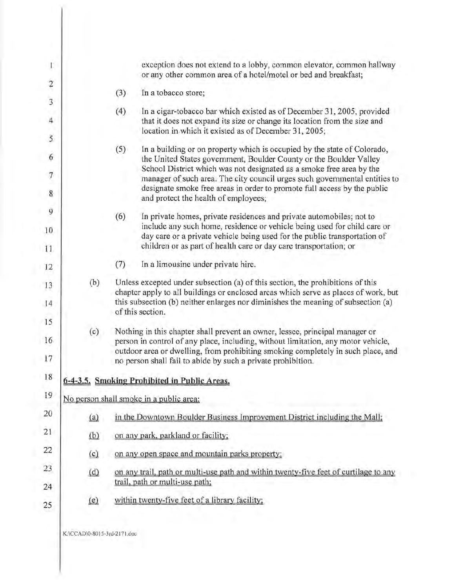|     | exception does not extend to a lobby, common elevator, common hallway<br>or any other common area of a hotel/motel or bed and breakfast;                                                                                                                                                                                                                                                                                        |  |  |
|-----|---------------------------------------------------------------------------------------------------------------------------------------------------------------------------------------------------------------------------------------------------------------------------------------------------------------------------------------------------------------------------------------------------------------------------------|--|--|
|     | In a tobacco store;<br>(3)                                                                                                                                                                                                                                                                                                                                                                                                      |  |  |
|     | (4)<br>In a cigar-tobacco bar which existed as of December 31, 2005, provided<br>that it does not expand its size or change its location from the size and<br>location in which it existed as of December 31, 2005;                                                                                                                                                                                                             |  |  |
|     | (5)<br>In a building or on property which is occupied by the state of Colorado,<br>the United States government, Boulder County or the Boulder Valley<br>School District which was not designated as a smoke free area by the<br>manager of such area. The city council urges such governmental entities to<br>designate smoke free areas in order to promote full access by the public<br>and protect the health of employees; |  |  |
|     | (6)<br>In private homes, private residences and private automobiles; not to<br>include any such home, residence or vehicle being used for child care or<br>day care or a private vehicle being used for the public transportation of<br>children or as part of health care or day care transportation; or                                                                                                                       |  |  |
|     | (7)<br>In a limousine under private hire.                                                                                                                                                                                                                                                                                                                                                                                       |  |  |
| (b) | Unless excepted under subsection (a) of this section, the prohibitions of this<br>chapter apply to all buildings or enclosed areas which serve as places of work, but<br>this subsection (b) neither enlarges nor diminishes the meaning of subsection (a)<br>of this section.                                                                                                                                                  |  |  |
| (c) | Nothing in this chapter shall prevent an owner, lessee, principal manager or<br>person in control of any place, including, without limitation, any motor vehicle,<br>outdoor area or dwelling, from prohibiting smoking completely in such place, and<br>no person shall fail to abide by such a private prohibition.                                                                                                           |  |  |
|     | 6-4-3.5. Smoking Prohibited in Public Areas.                                                                                                                                                                                                                                                                                                                                                                                    |  |  |
|     | No person shall smoke in a public area:                                                                                                                                                                                                                                                                                                                                                                                         |  |  |
| (a) | in the Downtown Boulder Business Improvement District including the Mall:                                                                                                                                                                                                                                                                                                                                                       |  |  |
| (b) | on any park, parkland or facility;                                                                                                                                                                                                                                                                                                                                                                                              |  |  |
| (c) | on any open space and mountain parks property;                                                                                                                                                                                                                                                                                                                                                                                  |  |  |
| (d) | on any trail, path or multi-use path and within twenty-five feet of curtilage to any<br>trail, path or multi-use path;                                                                                                                                                                                                                                                                                                          |  |  |
| (e) | within twenty-five feet of a library facility;                                                                                                                                                                                                                                                                                                                                                                                  |  |  |
|     |                                                                                                                                                                                                                                                                                                                                                                                                                                 |  |  |

K:\CCADI0-8015-3rd-2171.doc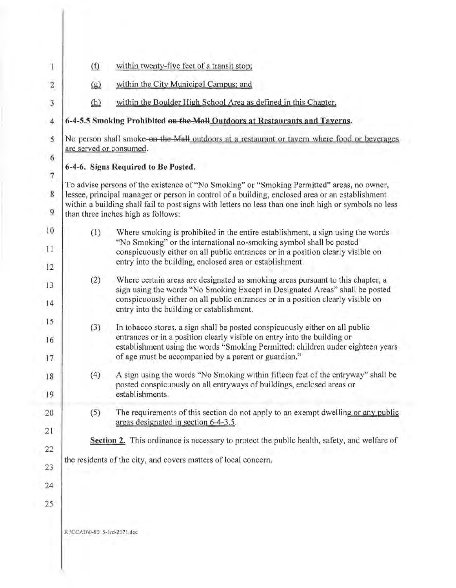| $\Omega$                                                                                                                                                                                                                                                                                                                                     | within twenty-five feet of a transit stop;                                                                                                                                                                                                                                                                                                       |  |  |  |
|----------------------------------------------------------------------------------------------------------------------------------------------------------------------------------------------------------------------------------------------------------------------------------------------------------------------------------------------|--------------------------------------------------------------------------------------------------------------------------------------------------------------------------------------------------------------------------------------------------------------------------------------------------------------------------------------------------|--|--|--|
| $\left( \mathbf{g}\right)$                                                                                                                                                                                                                                                                                                                   | within the City Municipal Campus; and                                                                                                                                                                                                                                                                                                            |  |  |  |
| (h)                                                                                                                                                                                                                                                                                                                                          | within the Boulder High School Area as defined in this Chapter.                                                                                                                                                                                                                                                                                  |  |  |  |
| 6-4-5.5 Smoking Prohibited on the Mall Outdoors at Restaurants and Tayerns.                                                                                                                                                                                                                                                                  |                                                                                                                                                                                                                                                                                                                                                  |  |  |  |
| No person shall smoke-on the Mall outdoors at a restaurant or tavern where food or beverages<br>are served or consumed.                                                                                                                                                                                                                      |                                                                                                                                                                                                                                                                                                                                                  |  |  |  |
| 6-4-6. Signs Required to Be Posted.                                                                                                                                                                                                                                                                                                          |                                                                                                                                                                                                                                                                                                                                                  |  |  |  |
| To advise persons of the existence of "No Smoking" or "Smoking Permitted" areas, no owner,<br>lessee, principal manager or person in control of a building, enclosed area or an establishment<br>within a building shall fail to post signs with letters no less than one inch high or symbols no less<br>than three inches high as follows: |                                                                                                                                                                                                                                                                                                                                                  |  |  |  |
| (1)                                                                                                                                                                                                                                                                                                                                          | Where smoking is prohibited in the entire establishment, a sign using the words<br>"No Smoking" or the international no-smoking symbol shall be posted<br>conspicuously either on all public entrances or in a position clearly visible on<br>entry into the building, enclosed area or establishment.                                           |  |  |  |
| (2)                                                                                                                                                                                                                                                                                                                                          | Where certain areas are designated as smoking areas pursuant to this chapter, a<br>sign using the words "No Smoking Except in Designated Areas" shall be posted<br>conspicuously either on all public entrances or in a position clearly visible on                                                                                              |  |  |  |
| (3)                                                                                                                                                                                                                                                                                                                                          | entry into the building or establishment.<br>In tobacco stores, a sign shall be posted conspicuously either on all public<br>entrances or in a position clearly visible on entry into the building or<br>establishment using the words "Smoking Permitted: children under eighteen years<br>of age must be accompanied by a parent or guardian." |  |  |  |
| (4)                                                                                                                                                                                                                                                                                                                                          | A sign using the words "No Smoking within fifteen feet of the entryway" shall be<br>posted conspicuously on all entryways of buildings, enclosed areas or<br>establishments.                                                                                                                                                                     |  |  |  |
| (5)                                                                                                                                                                                                                                                                                                                                          | The requirements of this section do not apply to an exempt dwelling or any public<br>areas designated in section 6-4-3.5.                                                                                                                                                                                                                        |  |  |  |
| Section 2. This ordinance is necessary to protect the public health, safety, and welfare of                                                                                                                                                                                                                                                  |                                                                                                                                                                                                                                                                                                                                                  |  |  |  |
|                                                                                                                                                                                                                                                                                                                                              | the residents of the city, and covers matters of local concern.                                                                                                                                                                                                                                                                                  |  |  |  |
|                                                                                                                                                                                                                                                                                                                                              |                                                                                                                                                                                                                                                                                                                                                  |  |  |  |
| K:\CCAD\0-8015-3rd-2171.doc                                                                                                                                                                                                                                                                                                                  |                                                                                                                                                                                                                                                                                                                                                  |  |  |  |
|                                                                                                                                                                                                                                                                                                                                              |                                                                                                                                                                                                                                                                                                                                                  |  |  |  |